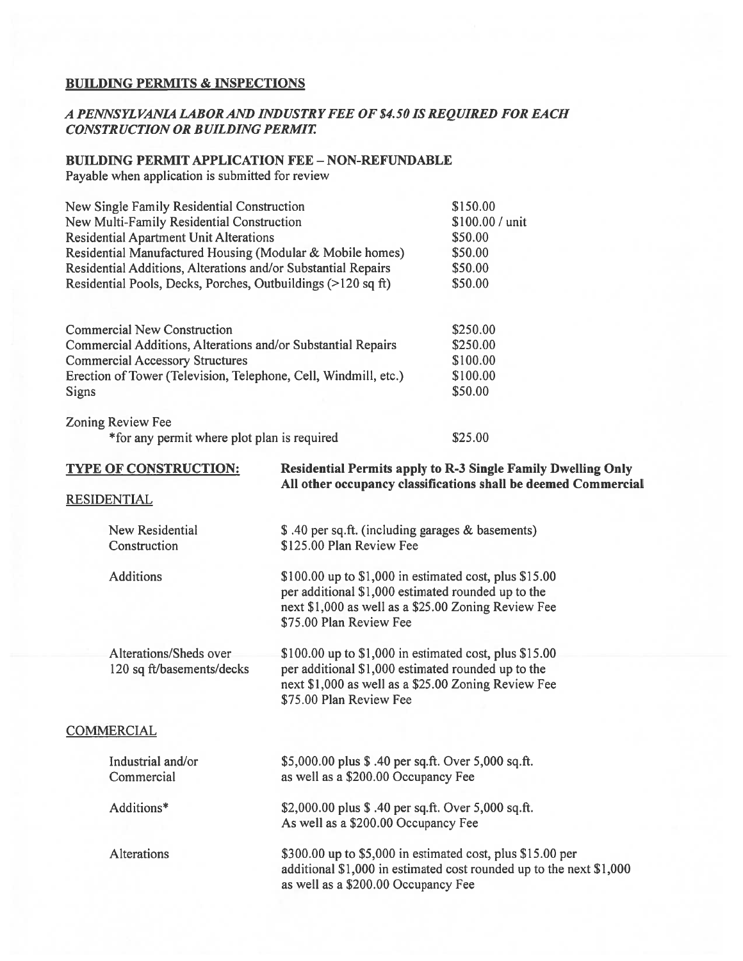#### BUILDING PERMITS & INSPECTIONS

## A PENNSYL VANIA LABOR AND IND USTRYFEE Of \$4. 5015 REQUIRED FOR EACH CONSTRUCTION OR BUILDING PERMIT

## BUILDING PERMIT APPLICATION FEE - NON-REFUNDABLE

Payable when application is submitted for review

| New Single Family Residential Construction                                                                         |                                                                                                                                       | \$150.00             |         |
|--------------------------------------------------------------------------------------------------------------------|---------------------------------------------------------------------------------------------------------------------------------------|----------------------|---------|
| New Multi-Family Residential Construction                                                                          | \$100.00 / unit<br>\$50.00<br>\$50.00<br>\$50.00<br>\$50.00                                                                           |                      |         |
| <b>Residential Apartment Unit Alterations</b>                                                                      |                                                                                                                                       |                      |         |
| Residential Manufactured Housing (Modular & Mobile homes)                                                          |                                                                                                                                       |                      |         |
| Residential Additions, Alterations and/or Substantial Repairs                                                      |                                                                                                                                       |                      |         |
| Residential Pools, Decks, Porches, Outbuildings (>120 sq ft)                                                       |                                                                                                                                       |                      |         |
|                                                                                                                    |                                                                                                                                       |                      |         |
| <b>Commercial New Construction</b>                                                                                 |                                                                                                                                       | \$250.00             |         |
| Commercial Additions, Alterations and/or Substantial Repairs                                                       |                                                                                                                                       | \$250.00             |         |
| <b>Commercial Accessory Structures</b><br>Erection of Tower (Television, Telephone, Cell, Windmill, etc.)<br>Signs |                                                                                                                                       | \$100.00<br>\$100.00 |         |
|                                                                                                                    |                                                                                                                                       |                      | \$50.00 |
|                                                                                                                    |                                                                                                                                       | Zoning Review Fee    |         |
| *for any permit where plot plan is required                                                                        |                                                                                                                                       | \$25.00              |         |
| <b>TYPE OF CONSTRUCTION:</b>                                                                                       | <b>Residential Permits apply to R-3 Single Family Dwelling Only</b><br>All other occupancy classifications shall be deemed Commercial |                      |         |
| <b>RESIDENTIAL</b>                                                                                                 |                                                                                                                                       |                      |         |
| New Residential                                                                                                    | \$ .40 per sq.ft. (including garages & basements)                                                                                     |                      |         |
| Construction                                                                                                       | \$125.00 Plan Review Fee                                                                                                              |                      |         |
| <b>Additions</b>                                                                                                   | \$100.00 up to \$1,000 in estimated cost, plus \$15.00                                                                                |                      |         |

per additional \$1,000 estimated rounded up to the next \$1,000 as well as <sup>a</sup> \$25.00 Zoning Review fee \$75.00 Plan Review fee

Alterations/Sheds over \$100.00 up to \$1,000 in estimated cost, plus \$15.00 120 sq ft/basements/decks per additional \$1,000 estimated rounded up to the next \$1,000 as well as <sup>a</sup> \$25.00 Zoning Review fee \$75.00 Plan Review Fee

### **COMMERCIAL**

| Industrial and/or<br>Commercial | \$5,000.00 plus \$ .40 per sq.ft. Over 5,000 sq.ft.<br>as well as a \$200.00 Occupancy Fee                                                                               |
|---------------------------------|--------------------------------------------------------------------------------------------------------------------------------------------------------------------------|
| Additions*                      | \$2,000.00 plus \$ .40 per sq.ft. Over 5,000 sq.ft.<br>As well as a \$200.00 Occupancy Fee                                                                               |
| <b>Alterations</b>              | \$300.00 up to \$5,000 in estimated cost, plus \$15.00 per<br>additional \$1,000 in estimated cost rounded up to the next \$1,000<br>as well as a \$200.00 Occupancy Fee |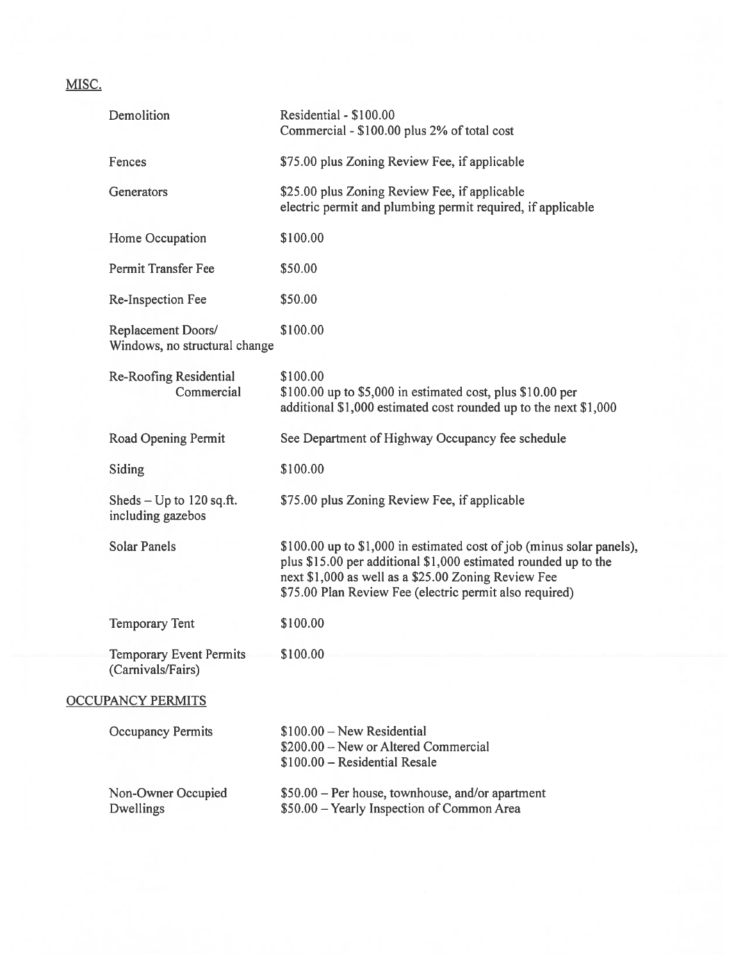# MISC.

| Demolition                                          | Residential - \$100.00<br>Commercial - \$100.00 plus 2% of total cost                                                                                                                                                                                      |
|-----------------------------------------------------|------------------------------------------------------------------------------------------------------------------------------------------------------------------------------------------------------------------------------------------------------------|
| Fences                                              | \$75.00 plus Zoning Review Fee, if applicable                                                                                                                                                                                                              |
| Generators                                          | \$25.00 plus Zoning Review Fee, if applicable<br>electric permit and plumbing permit required, if applicable                                                                                                                                               |
| Home Occupation                                     | \$100.00                                                                                                                                                                                                                                                   |
| Permit Transfer Fee                                 | \$50.00                                                                                                                                                                                                                                                    |
| Re-Inspection Fee                                   | \$50.00                                                                                                                                                                                                                                                    |
| Replacement Doors/<br>Windows, no structural change | \$100.00                                                                                                                                                                                                                                                   |
| Re-Roofing Residential<br>Commercial                | \$100.00<br>\$100.00 up to \$5,000 in estimated cost, plus \$10.00 per<br>additional \$1,000 estimated cost rounded up to the next \$1,000                                                                                                                 |
| Road Opening Permit                                 | See Department of Highway Occupancy fee schedule                                                                                                                                                                                                           |
| Siding                                              | \$100.00                                                                                                                                                                                                                                                   |
| Sheds $-$ Up to 120 sq.ft.<br>including gazebos     | \$75.00 plus Zoning Review Fee, if applicable                                                                                                                                                                                                              |
| <b>Solar Panels</b>                                 | \$100.00 up to \$1,000 in estimated cost of job (minus solar panels),<br>plus \$15.00 per additional \$1,000 estimated rounded up to the<br>next \$1,000 as well as a \$25.00 Zoning Review Fee<br>\$75.00 Plan Review Fee (electric permit also required) |
| <b>Temporary Tent</b>                               | \$100.00                                                                                                                                                                                                                                                   |
| Temporary Event Permits<br>(Carnivals/Fairs)        | \$100.00                                                                                                                                                                                                                                                   |
| <b>OCCUPANCY PERMITS</b>                            |                                                                                                                                                                                                                                                            |
| <b>Occupancy Permits</b>                            | $$100.00 - New Residental$<br>\$200.00 - New or Altered Commercial<br>$$100.00 - Residental Resale$                                                                                                                                                        |
| Non-Owner Occupied<br>Dwellings                     | \$50.00 - Per house, townhouse, and/or apartment<br>\$50.00 - Yearly Inspection of Common Area                                                                                                                                                             |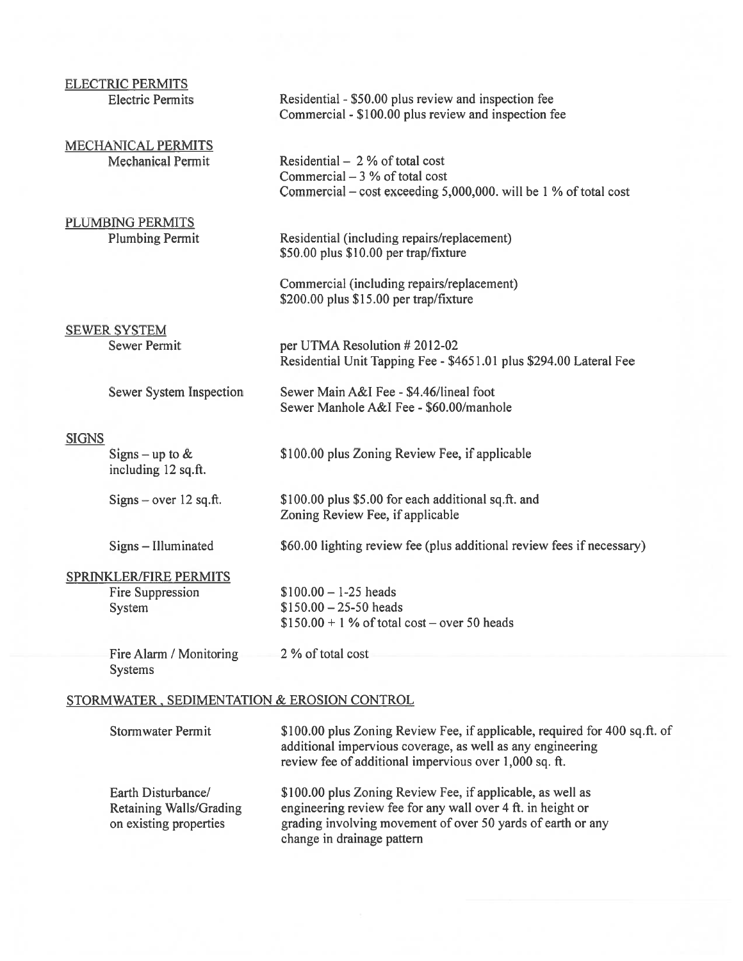| <b>ELECTRIC PERMITS</b><br><b>Electric Permits</b>                 | Residential - \$50.00 plus review and inspection fee<br>Commercial - \$100.00 plus review and inspection fee                                                                                       |
|--------------------------------------------------------------------|----------------------------------------------------------------------------------------------------------------------------------------------------------------------------------------------------|
| <b>MECHANICAL PERMITS</b><br><b>Mechanical Permit</b>              | Residential $-2%$ of total cost<br>Commercial $-3$ % of total cost<br>Commercial – cost exceeding 5,000,000. will be 1 % of total cost                                                             |
| <b>PLUMBING PERMITS</b><br><b>Plumbing Permit</b>                  | Residential (including repairs/replacement)<br>\$50.00 plus \$10.00 per trap/fixture                                                                                                               |
|                                                                    | Commercial (including repairs/replacement)<br>\$200.00 plus \$15.00 per trap/fixture                                                                                                               |
| <b>SEWER SYSTEM</b><br><b>Sewer Permit</b>                         | per UTMA Resolution # 2012-02<br>Residential Unit Tapping Fee - \$4651.01 plus \$294.00 Lateral Fee                                                                                                |
| Sewer System Inspection                                            | Sewer Main A&I Fee - \$4.46/lineal foot<br>Sewer Manhole A&I Fee - \$60.00/manhole                                                                                                                 |
| <b>SIGNS</b><br>Signs – up to $&$<br>including 12 sq.ft.           | \$100.00 plus Zoning Review Fee, if applicable                                                                                                                                                     |
| $Sigma - over 12 sq. ft.$                                          | \$100.00 plus \$5.00 for each additional sq.ft. and<br>Zoning Review Fee, if applicable                                                                                                            |
| Signs - Illuminated                                                | \$60.00 lighting review fee (plus additional review fees if necessary)                                                                                                                             |
| <b>SPRINKLER/FIRE PERMITS</b><br>Fire Suppression<br><b>System</b> | $$100.00 - 1-25$ heads<br>$$150.00 - 25-50$ heads<br>$$150.00 + 1\%$ of total cost – over 50 heads                                                                                                 |
| Fire Alarm / Monitoring<br><b>Systems</b>                          | 2 % of total cost                                                                                                                                                                                  |
| STORMWATER, SEDIMENTATION & EROSION CONTROL                        |                                                                                                                                                                                                    |
| <b>Stormwater Permit</b>                                           | \$100.00 plus Zoning Review Fee, if applicable, required for 400 sq.ft. of<br>additional impervious coverage, as well as any engineering<br>review fee of additional impervious over 1,000 sq. ft. |
| Earth Disturbance/<br><b>Retaining Walls/Grading</b>               | \$100.00 plus Zoning Review Fee, if applicable, as well as<br>engineering review fee for any wall over 4 ft. in height or                                                                          |

on existing properties grading involving movement of over 50 yards of earth or any change in drainage pattern